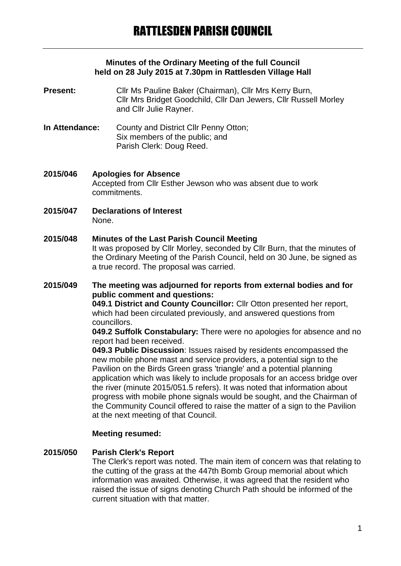#### **Minutes of the Ordinary Meeting of the full Council held on 28 July 2015 at 7.30pm in Rattlesden Village Hall**

- **Present:** Cllr Ms Pauline Baker (Chairman), Cllr Mrs Kerry Burn, Cllr Mrs Bridget Goodchild, Cllr Dan Jewers, Cllr Russell Morley and Cllr Julie Rayner.
- **In Attendance:** County and District Cllr Penny Otton; Six members of the public; and Parish Clerk: Doug Reed.
- **2015/046 Apologies for Absence** Accepted from Cllr Esther Jewson who was absent due to work commitments.
- **2015/047 Declarations of Interest** None.
- **2015/048 Minutes of the Last Parish Council Meeting** It was proposed by Cllr Morley, seconded by Cllr Burn, that the minutes of the Ordinary Meeting of the Parish Council, held on 30 June, be signed as a true record. The proposal was carried.
- **2015/049 The meeting was adjourned for reports from external bodies and for public comment and questions:**

**049.1 District and County Councillor:** Cllr Otton presented her report, which had been circulated previously, and answered questions from councillors.

**049.2 Suffolk Constabulary:** There were no apologies for absence and no report had been received.

**049.3 Public Discussion**: Issues raised by residents encompassed the new mobile phone mast and service providers, a potential sign to the Pavilion on the Birds Green grass 'triangle' and a potential planning application which was likely to include proposals for an access bridge over the river (minute 2015/051.5 refers). It was noted that information about progress with mobile phone signals would be sought, and the Chairman of the Community Council offered to raise the matter of a sign to the Pavilion at the next meeting of that Council.

#### **Meeting resumed:**

#### **2015/050 Parish Clerk's Report**

The Clerk's report was noted. The main item of concern was that relating to the cutting of the grass at the 447th Bomb Group memorial about which information was awaited. Otherwise, it was agreed that the resident who raised the issue of signs denoting Church Path should be informed of the current situation with that matter.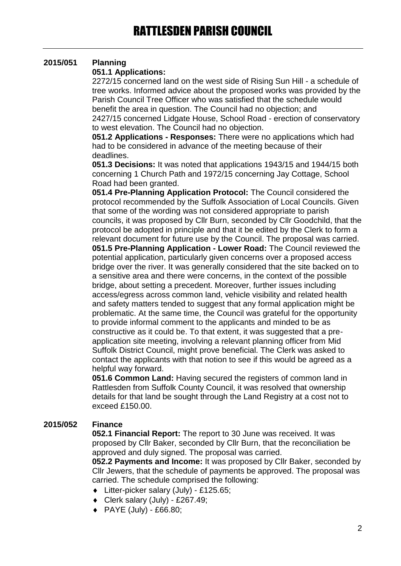# **2015/051 Planning**

### **051.1 Applications:**

2272/15 concerned land on the west side of Rising Sun Hill - a schedule of tree works. Informed advice about the proposed works was provided by the Parish Council Tree Officer who was satisfied that the schedule would benefit the area in question. The Council had no objection; and 2427/15 concerned Lidgate House, School Road - erection of conservatory to west elevation. The Council had no objection.

**051.2 Applications - Responses:** There were no applications which had had to be considered in advance of the meeting because of their deadlines.

**051.3 Decisions:** It was noted that applications 1943/15 and 1944/15 both concerning 1 Church Path and 1972/15 concerning Jay Cottage, School Road had been granted.

**051.4 Pre-Planning Application Protocol:** The Council considered the protocol recommended by the Suffolk Association of Local Councils. Given that some of the wording was not considered appropriate to parish councils, it was proposed by Cllr Burn, seconded by Cllr Goodchild, that the protocol be adopted in principle and that it be edited by the Clerk to form a relevant document for future use by the Council. The proposal was carried. **051.5 Pre-Planning Application - Lower Road:** The Council reviewed the potential application, particularly given concerns over a proposed access bridge over the river. It was generally considered that the site backed on to a sensitive area and there were concerns, in the context of the possible bridge, about setting a precedent. Moreover, further issues including access/egress across common land, vehicle visibility and related health and safety matters tended to suggest that any formal application might be problematic. At the same time, the Council was grateful for the opportunity to provide informal comment to the applicants and minded to be as constructive as it could be. To that extent, it was suggested that a preapplication site meeting, involving a relevant planning officer from Mid Suffolk District Council, might prove beneficial. The Clerk was asked to contact the applicants with that notion to see if this would be agreed as a helpful way forward.

**051.6 Common Land:** Having secured the registers of common land in Rattlesden from Suffolk County Council, it was resolved that ownership details for that land be sought through the Land Registry at a cost not to exceed £150.00.

# **2015/052 Finance**

**052.1 Financial Report:** The report to 30 June was received. It was proposed by Cllr Baker, seconded by Cllr Burn, that the reconciliation be approved and duly signed. The proposal was carried.

**052.2 Payments and Income:** It was proposed by Cllr Baker, seconded by Cllr Jewers, that the schedule of payments be approved. The proposal was carried. The schedule comprised the following:

- Litter-picker salary (July) £125.65;
- Clerk salary (July) £267.49;
- PAYE (July) £66.80;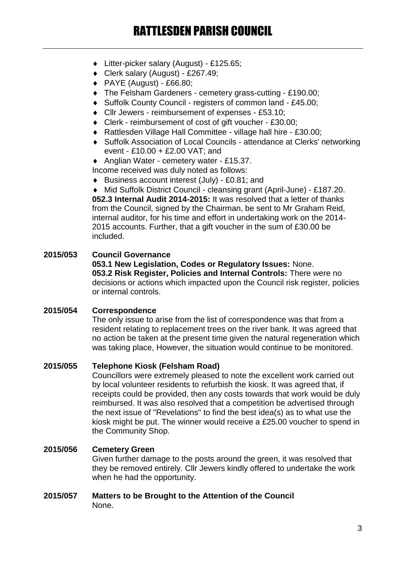- Litter-picker salary (August) £125.65;
- Clerk salary (August) £267.49;
- $\blacklozenge$  PAYE (August) £66.80;
- The Felsham Gardeners cemetery grass-cutting £190.00;
- ◆ Suffolk County Council registers of common land £45.00;
- Cllr Jewers reimbursement of expenses £53.10;
- Clerk reimbursement of cost of gift voucher £30.00;
- Rattlesden Village Hall Committee village hall hire £30.00;
- Suffolk Association of Local Councils attendance at Clerks' networking event - £10.00 + £2.00 VAT; and
- ◆ Anglian Water cemetery water £15.37.

Income received was duly noted as follows:

Business account interest (July) - £0.81; and

 Mid Suffolk District Council - cleansing grant (April-June) - £187.20. **052.3 Internal Audit 2014-2015:** It was resolved that a letter of thanks from the Council, signed by the Chairman, be sent to Mr Graham Reid, internal auditor, for his time and effort in undertaking work on the 2014- 2015 accounts. Further, that a gift voucher in the sum of £30.00 be included.

#### **2015/053 Council Governance**

**053.1 New Legislation, Codes or Regulatory Issues:** None. **053.2 Risk Register, Policies and Internal Controls:** There were no decisions or actions which impacted upon the Council risk register, policies or internal controls.

#### **2015/054 Correspondence**

The only issue to arise from the list of correspondence was that from a resident relating to replacement trees on the river bank. It was agreed that no action be taken at the present time given the natural regeneration which was taking place, However, the situation would continue to be monitored.

#### **2015/055 Telephone Kiosk (Felsham Road)**

Councillors were extremely pleased to note the excellent work carried out by local volunteer residents to refurbish the kiosk. It was agreed that, if receipts could be provided, then any costs towards that work would be duly reimbursed. It was also resolved that a competition be advertised through the next issue of "Revelations" to find the best idea(s) as to what use the kiosk might be put. The winner would receive a £25.00 voucher to spend in the Community Shop.

#### **2015/056 Cemetery Green**

Given further damage to the posts around the green, it was resolved that they be removed entirely. Cllr Jewers kindly offered to undertake the work when he had the opportunity.

#### **2015/057 Matters to be Brought to the Attention of the Council** None.